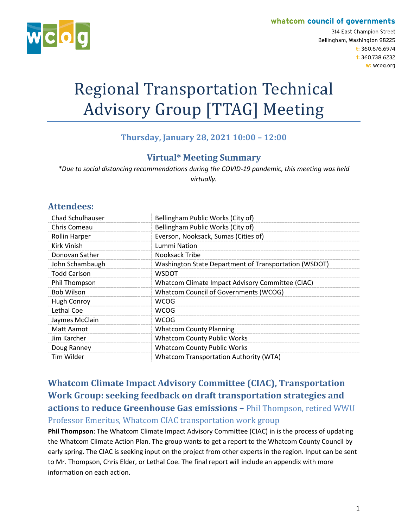#### whatcom council of governments



314 East Champion Street Bellingham, Washington 98225 t: 360.676.6974 f: 360.738.6232 w: wcog.org

# Regional Transportation Technical Advisory Group [TTAG] Meeting

### **Thursday, January 28, 2021 10:00 – 12:00**

#### **Virtual\* Meeting Summary**

*\*Due to social distancing recommendations during the COVID-19 pandemic, this meeting was held virtually.*

#### **Attendees:**

| <b>Chad Schulhauser</b> | Bellingham Public Works (City of)                     |
|-------------------------|-------------------------------------------------------|
| Chris Comeau            | Bellingham Public Works (City of)                     |
| <b>Rollin Harper</b>    | Everson, Nooksack, Sumas (Cities of)                  |
| Kirk Vinish             | Lummi Nation                                          |
| Donovan Sather          | Nooksack Tribe                                        |
| John Schambaugh         | Washington State Department of Transportation (WSDOT) |
| <b>Todd Carlson</b>     | <b>WSDOT</b>                                          |
| Phil Thompson           | Whatcom Climate Impact Advisory Committee (CIAC)      |
| <b>Bob Wilson</b>       | Whatcom Council of Governments (WCOG)                 |
| <b>Hugh Conroy</b>      | <b>WCOG</b>                                           |
| Lethal Coe              | <b>WCOG</b>                                           |
| Jaymes McClain          | <b>WCOG</b>                                           |
| Matt Aamot              | <b>Whatcom County Planning</b>                        |
| Jim Karcher             | <b>Whatcom County Public Works</b>                    |
| Doug Ranney             | <b>Whatcom County Public Works</b>                    |
| Tim Wilder              | <b>Whatcom Transportation Authority (WTA)</b>         |

**Whatcom Climate Impact Advisory Committee (CIAC), Transportation Work Group: seeking feedback on draft transportation strategies and actions to reduce Greenhouse Gas emissions –** Phil Thompson, retired WWU Professor Emeritus, Whatcom CIAC transportation work group

**Phil Thompson**: The Whatcom Climate Impact Advisory Committee (CIAC) in is the process of updating the Whatcom Climate Action Plan. The group wants to get a report to the Whatcom County Council by early spring. The CIAC is seeking input on the project from other experts in the region. Input can be sent to Mr. Thompson, Chris Elder, or Lethal Coe. The final report will include an appendix with more information on each action.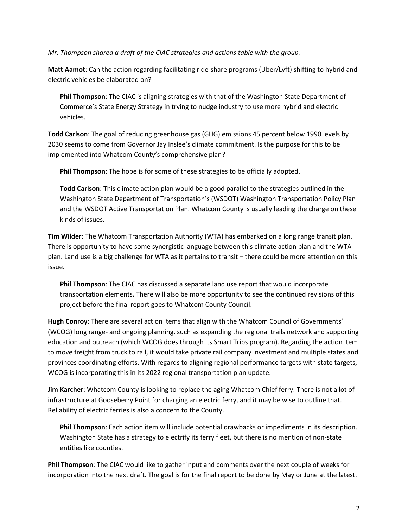*Mr. Thompson shared a draft of the CIAC strategies and actions table with the group.*

**Matt Aamot**: Can the action regarding facilitating ride-share programs (Uber/Lyft) shifting to hybrid and electric vehicles be elaborated on?

**Phil Thompson**: The CIAC is aligning strategies with that of the Washington State Department of Commerce's State Energy Strategy in trying to nudge industry to use more hybrid and electric vehicles.

**Todd Carlson**: The goal of reducing greenhouse gas (GHG) emissions 45 percent below 1990 levels by 2030 seems to come from Governor Jay Inslee's climate commitment. Is the purpose for this to be implemented into Whatcom County's comprehensive plan?

**Phil Thompson**: The hope is for some of these strategies to be officially adopted.

**Todd Carlson**: This climate action plan would be a good parallel to the strategies outlined in the Washington State Department of Transportation's (WSDOT) Washington Transportation Policy Plan and the WSDOT Active Transportation Plan. Whatcom County is usually leading the charge on these kinds of issues.

**Tim Wilder**: The Whatcom Transportation Authority (WTA) has embarked on a long range transit plan. There is opportunity to have some synergistic language between this climate action plan and the WTA plan. Land use is a big challenge for WTA as it pertains to transit – there could be more attention on this issue.

**Phil Thompson**: The CIAC has discussed a separate land use report that would incorporate transportation elements. There will also be more opportunity to see the continued revisions of this project before the final report goes to Whatcom County Council.

**Hugh Conroy**: There are several action items that align with the Whatcom Council of Governments' (WCOG) long range- and ongoing planning, such as expanding the regional trails network and supporting education and outreach (which WCOG does through its Smart Trips program). Regarding the action item to move freight from truck to rail, it would take private rail company investment and multiple states and provinces coordinating efforts. With regards to aligning regional performance targets with state targets, WCOG is incorporating this in its 2022 regional transportation plan update.

**Jim Karcher**: Whatcom County is looking to replace the aging Whatcom Chief ferry. There is not a lot of infrastructure at Gooseberry Point for charging an electric ferry, and it may be wise to outline that. Reliability of electric ferries is also a concern to the County.

**Phil Thompson**: Each action item will include potential drawbacks or impediments in its description. Washington State has a strategy to electrify its ferry fleet, but there is no mention of non-state entities like counties.

**Phil Thompson**: The CIAC would like to gather input and comments over the next couple of weeks for incorporation into the next draft. The goal is for the final report to be done by May or June at the latest.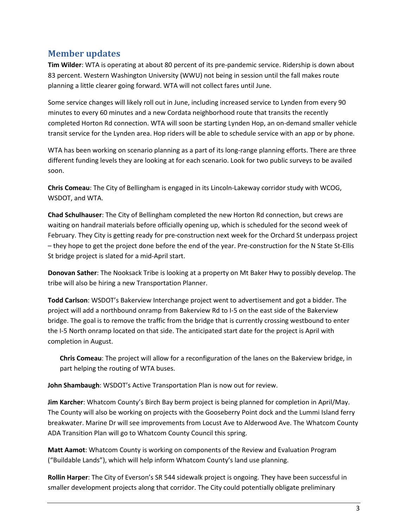#### **Member updates**

**Tim Wilder**: WTA is operating at about 80 percent of its pre-pandemic service. Ridership is down about 83 percent. Western Washington University (WWU) not being in session until the fall makes route planning a little clearer going forward. WTA will not collect fares until June.

Some service changes will likely roll out in June, including increased service to Lynden from every 90 minutes to every 60 minutes and a new Cordata neighborhood route that transits the recently completed Horton Rd connection. WTA will soon be starting Lynden Hop, an on-demand smaller vehicle transit service for the Lynden area. Hop riders will be able to schedule service with an app or by phone.

WTA has been working on scenario planning as a part of its long-range planning efforts. There are three different funding levels they are looking at for each scenario. Look for two public surveys to be availed soon.

**Chris Comeau**: The City of Bellingham is engaged in its Lincoln-Lakeway corridor study with WCOG, WSDOT, and WTA.

**Chad Schulhauser**: The City of Bellingham completed the new Horton Rd connection, but crews are waiting on handrail materials before officially opening up, which is scheduled for the second week of February. They City is getting ready for pre-construction next week for the Orchard St underpass project – they hope to get the project done before the end of the year. Pre-construction for the N State St-Ellis St bridge project is slated for a mid-April start.

**Donovan Sather**: The Nooksack Tribe is looking at a property on Mt Baker Hwy to possibly develop. The tribe will also be hiring a new Transportation Planner.

**Todd Carlson**: WSDOT's Bakerview Interchange project went to advertisement and got a bidder. The project will add a northbound onramp from Bakerview Rd to I-5 on the east side of the Bakerview bridge. The goal is to remove the traffic from the bridge that is currently crossing westbound to enter the I-5 North onramp located on that side. The anticipated start date for the project is April with completion in August.

**Chris Comeau**: The project will allow for a reconfiguration of the lanes on the Bakerview bridge, in part helping the routing of WTA buses.

**John Shambaugh**: WSDOT's Active Transportation Plan is now out for review.

**Jim Karcher**: Whatcom County's Birch Bay berm project is being planned for completion in April/May. The County will also be working on projects with the Gooseberry Point dock and the Lummi Island ferry breakwater. Marine Dr will see improvements from Locust Ave to Alderwood Ave. The Whatcom County ADA Transition Plan will go to Whatcom County Council this spring.

**Matt Aamot**: Whatcom County is working on components of the Review and Evaluation Program ("Buildable Lands"), which will help inform Whatcom County's land use planning.

**Rollin Harper**: The City of Everson's SR 544 sidewalk project is ongoing. They have been successful in smaller development projects along that corridor. The City could potentially obligate preliminary